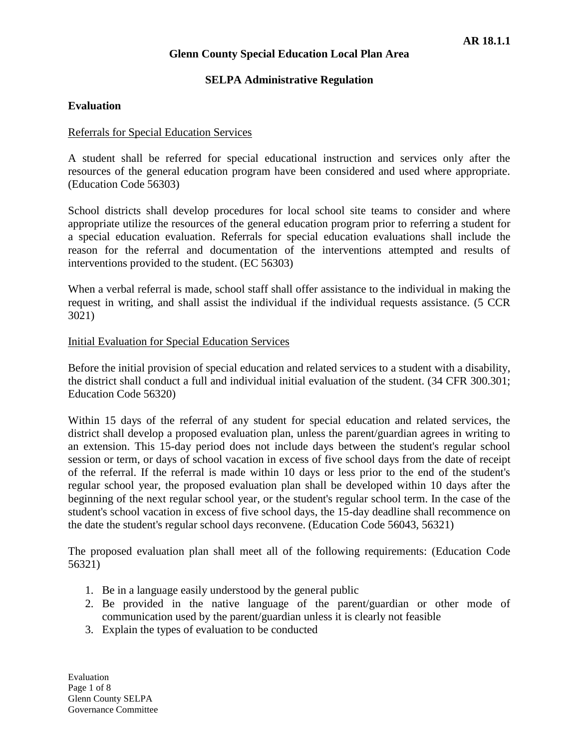### **SELPA Administrative Regulation**

### **Evaluation**

#### Referrals for Special Education Services

A student shall be referred for special educational instruction and services only after the resources of the general education program have been considered and used where appropriate. (Education Code 56303)

School districts shall develop procedures for local school site teams to consider and where appropriate utilize the resources of the general education program prior to referring a student for a special education evaluation. Referrals for special education evaluations shall include the reason for the referral and documentation of the interventions attempted and results of interventions provided to the student. (EC 56303)

When a verbal referral is made, school staff shall offer assistance to the individual in making the request in writing, and shall assist the individual if the individual requests assistance. (5 CCR 3021)

#### Initial Evaluation for Special Education Services

Before the initial provision of special education and related services to a student with a disability, the district shall conduct a full and individual initial evaluation of the student. (34 CFR 300.301; Education Code 56320)

Within 15 days of the referral of any student for special education and related services, the district shall develop a proposed evaluation plan, unless the parent/guardian agrees in writing to an extension. This 15-day period does not include days between the student's regular school session or term, or days of school vacation in excess of five school days from the date of receipt of the referral. If the referral is made within 10 days or less prior to the end of the student's regular school year, the proposed evaluation plan shall be developed within 10 days after the beginning of the next regular school year, or the student's regular school term. In the case of the student's school vacation in excess of five school days, the 15-day deadline shall recommence on the date the student's regular school days reconvene. (Education Code 56043, 56321)

The proposed evaluation plan shall meet all of the following requirements: (Education Code 56321)

- 1. Be in a language easily understood by the general public
- 2. Be provided in the native language of the parent/guardian or other mode of communication used by the parent/guardian unless it is clearly not feasible
- 3. Explain the types of evaluation to be conducted

Evaluation Page 1 of 8 Glenn County SELPA Governance Committee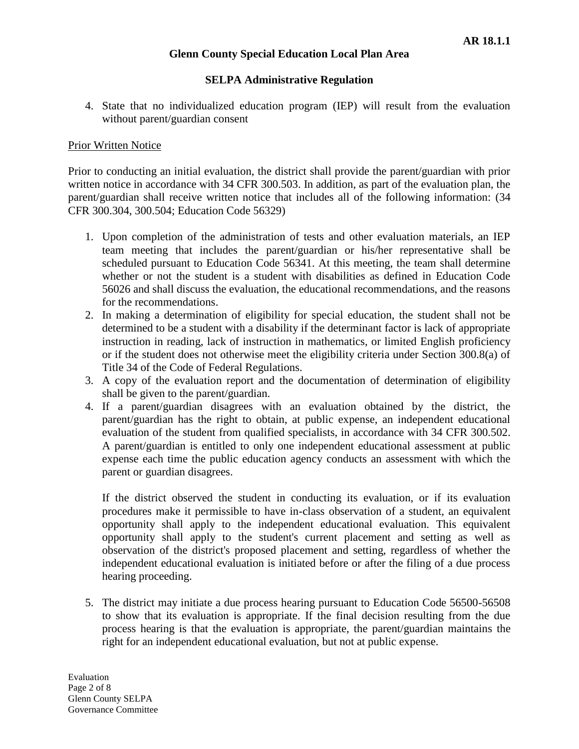# **SELPA Administrative Regulation**

4. State that no individualized education program (IEP) will result from the evaluation without parent/guardian consent

# Prior Written Notice

Prior to conducting an initial evaluation, the district shall provide the parent/guardian with prior written notice in accordance with 34 CFR 300.503. In addition, as part of the evaluation plan, the parent/guardian shall receive written notice that includes all of the following information: (34 CFR 300.304, 300.504; Education Code 56329)

- 1. Upon completion of the administration of tests and other evaluation materials, an IEP team meeting that includes the parent/guardian or his/her representative shall be scheduled pursuant to Education Code 56341. At this meeting, the team shall determine whether or not the student is a student with disabilities as defined in Education Code 56026 and shall discuss the evaluation, the educational recommendations, and the reasons for the recommendations.
- 2. In making a determination of eligibility for special education, the student shall not be determined to be a student with a disability if the determinant factor is lack of appropriate instruction in reading, lack of instruction in mathematics, or limited English proficiency or if the student does not otherwise meet the eligibility criteria under Section 300.8(a) of Title 34 of the Code of Federal Regulations.
- 3. A copy of the evaluation report and the documentation of determination of eligibility shall be given to the parent/guardian.
- 4. If a parent/guardian disagrees with an evaluation obtained by the district, the parent/guardian has the right to obtain, at public expense, an independent educational evaluation of the student from qualified specialists, in accordance with 34 CFR 300.502. A parent/guardian is entitled to only one independent educational assessment at public expense each time the public education agency conducts an assessment with which the parent or guardian disagrees.

If the district observed the student in conducting its evaluation, or if its evaluation procedures make it permissible to have in-class observation of a student, an equivalent opportunity shall apply to the independent educational evaluation. This equivalent opportunity shall apply to the student's current placement and setting as well as observation of the district's proposed placement and setting, regardless of whether the independent educational evaluation is initiated before or after the filing of a due process hearing proceeding.

5. The district may initiate a due process hearing pursuant to Education Code 56500-56508 to show that its evaluation is appropriate. If the final decision resulting from the due process hearing is that the evaluation is appropriate, the parent/guardian maintains the right for an independent educational evaluation, but not at public expense.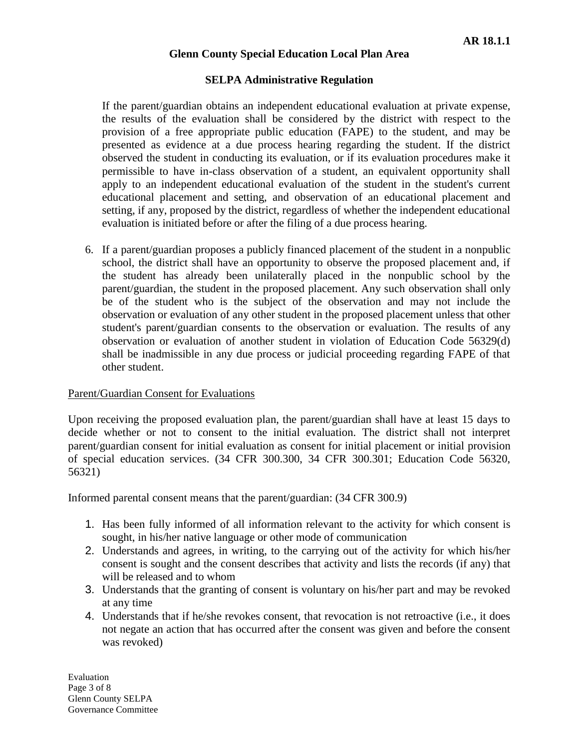# **SELPA Administrative Regulation**

If the parent/guardian obtains an independent educational evaluation at private expense, the results of the evaluation shall be considered by the district with respect to the provision of a free appropriate public education (FAPE) to the student, and may be presented as evidence at a due process hearing regarding the student. If the district observed the student in conducting its evaluation, or if its evaluation procedures make it permissible to have in-class observation of a student, an equivalent opportunity shall apply to an independent educational evaluation of the student in the student's current educational placement and setting, and observation of an educational placement and setting, if any, proposed by the district, regardless of whether the independent educational evaluation is initiated before or after the filing of a due process hearing.

6. If a parent/guardian proposes a publicly financed placement of the student in a nonpublic school, the district shall have an opportunity to observe the proposed placement and, if the student has already been unilaterally placed in the nonpublic school by the parent/guardian, the student in the proposed placement. Any such observation shall only be of the student who is the subject of the observation and may not include the observation or evaluation of any other student in the proposed placement unless that other student's parent/guardian consents to the observation or evaluation. The results of any observation or evaluation of another student in violation of Education Code 56329(d) shall be inadmissible in any due process or judicial proceeding regarding FAPE of that other student.

#### Parent/Guardian Consent for Evaluations

Upon receiving the proposed evaluation plan, the parent/guardian shall have at least 15 days to decide whether or not to consent to the initial evaluation. The district shall not interpret parent/guardian consent for initial evaluation as consent for initial placement or initial provision of special education services. (34 CFR 300.300, 34 CFR 300.301; Education Code 56320, 56321)

Informed parental consent means that the parent/guardian: (34 CFR 300.9)

- 1. Has been fully informed of all information relevant to the activity for which consent is sought, in his/her native language or other mode of communication
- 2. Understands and agrees, in writing, to the carrying out of the activity for which his/her consent is sought and the consent describes that activity and lists the records (if any) that will be released and to whom
- 3. Understands that the granting of consent is voluntary on his/her part and may be revoked at any time
- 4. Understands that if he/she revokes consent, that revocation is not retroactive (i.e., it does not negate an action that has occurred after the consent was given and before the consent was revoked)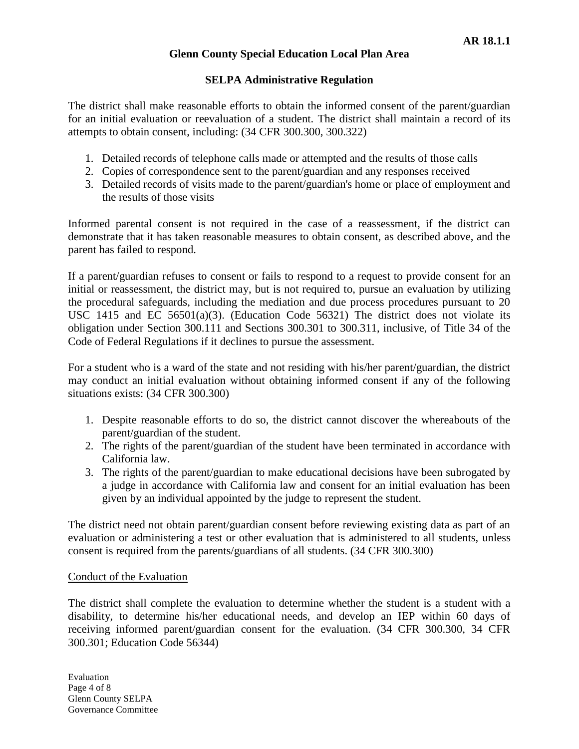## **SELPA Administrative Regulation**

The district shall make reasonable efforts to obtain the informed consent of the parent/guardian for an initial evaluation or reevaluation of a student. The district shall maintain a record of its attempts to obtain consent, including: (34 CFR 300.300, 300.322)

- 1. Detailed records of telephone calls made or attempted and the results of those calls
- 2. Copies of correspondence sent to the parent/guardian and any responses received
- 3. Detailed records of visits made to the parent/guardian's home or place of employment and the results of those visits

Informed parental consent is not required in the case of a reassessment, if the district can demonstrate that it has taken reasonable measures to obtain consent, as described above, and the parent has failed to respond.

If a parent/guardian refuses to consent or fails to respond to a request to provide consent for an initial or reassessment, the district may, but is not required to, pursue an evaluation by utilizing the procedural safeguards, including the mediation and due process procedures pursuant to 20 USC 1415 and EC 56501(a)(3). (Education Code 56321) The district does not violate its obligation under Section 300.111 and Sections 300.301 to 300.311, inclusive, of Title 34 of the Code of Federal Regulations if it declines to pursue the assessment.

For a student who is a ward of the state and not residing with his/her parent/guardian, the district may conduct an initial evaluation without obtaining informed consent if any of the following situations exists: (34 CFR 300.300)

- 1. Despite reasonable efforts to do so, the district cannot discover the whereabouts of the parent/guardian of the student.
- 2. The rights of the parent/guardian of the student have been terminated in accordance with California law.
- 3. The rights of the parent/guardian to make educational decisions have been subrogated by a judge in accordance with California law and consent for an initial evaluation has been given by an individual appointed by the judge to represent the student.

The district need not obtain parent/guardian consent before reviewing existing data as part of an evaluation or administering a test or other evaluation that is administered to all students, unless consent is required from the parents/guardians of all students. (34 CFR 300.300)

#### Conduct of the Evaluation

The district shall complete the evaluation to determine whether the student is a student with a disability, to determine his/her educational needs, and develop an IEP within 60 days of receiving informed parent/guardian consent for the evaluation. (34 CFR 300.300, 34 CFR 300.301; Education Code 56344)

Evaluation Page 4 of 8 Glenn County SELPA Governance Committee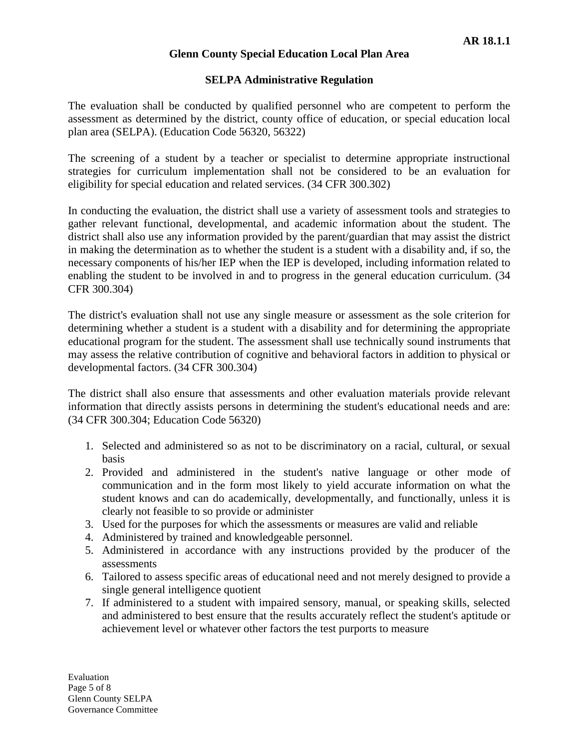### **SELPA Administrative Regulation**

The evaluation shall be conducted by qualified personnel who are competent to perform the assessment as determined by the district, county office of education, or special education local plan area (SELPA). (Education Code 56320, 56322)

The screening of a student by a teacher or specialist to determine appropriate instructional strategies for curriculum implementation shall not be considered to be an evaluation for eligibility for special education and related services. (34 CFR 300.302)

In conducting the evaluation, the district shall use a variety of assessment tools and strategies to gather relevant functional, developmental, and academic information about the student. The district shall also use any information provided by the parent/guardian that may assist the district in making the determination as to whether the student is a student with a disability and, if so, the necessary components of his/her IEP when the IEP is developed, including information related to enabling the student to be involved in and to progress in the general education curriculum. (34 CFR 300.304)

The district's evaluation shall not use any single measure or assessment as the sole criterion for determining whether a student is a student with a disability and for determining the appropriate educational program for the student. The assessment shall use technically sound instruments that may assess the relative contribution of cognitive and behavioral factors in addition to physical or developmental factors. (34 CFR 300.304)

The district shall also ensure that assessments and other evaluation materials provide relevant information that directly assists persons in determining the student's educational needs and are: (34 CFR 300.304; Education Code 56320)

- 1. Selected and administered so as not to be discriminatory on a racial, cultural, or sexual basis
- 2. Provided and administered in the student's native language or other mode of communication and in the form most likely to yield accurate information on what the student knows and can do academically, developmentally, and functionally, unless it is clearly not feasible to so provide or administer
- 3. Used for the purposes for which the assessments or measures are valid and reliable
- 4. Administered by trained and knowledgeable personnel.
- 5. Administered in accordance with any instructions provided by the producer of the assessments
- 6. Tailored to assess specific areas of educational need and not merely designed to provide a single general intelligence quotient
- 7. If administered to a student with impaired sensory, manual, or speaking skills, selected and administered to best ensure that the results accurately reflect the student's aptitude or achievement level or whatever other factors the test purports to measure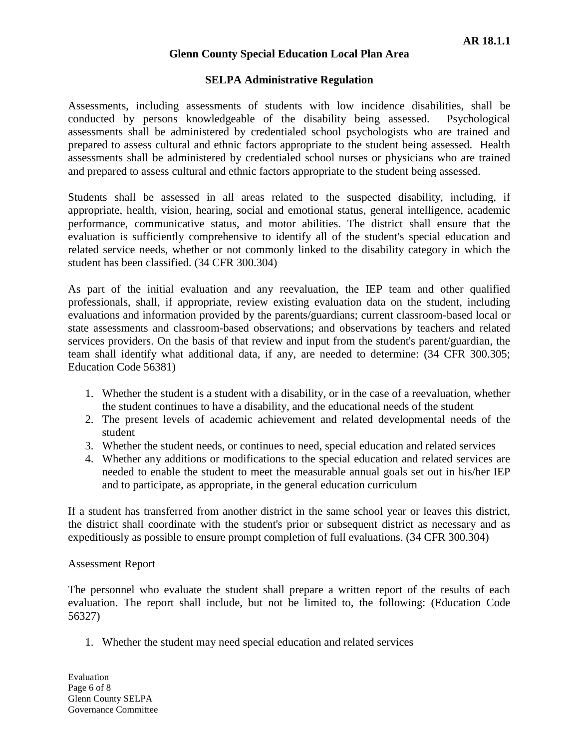### **SELPA Administrative Regulation**

Assessments, including assessments of students with low incidence disabilities, shall be conducted by persons knowledgeable of the disability being assessed. Psychological assessments shall be administered by credentialed school psychologists who are trained and prepared to assess cultural and ethnic factors appropriate to the student being assessed. Health assessments shall be administered by credentialed school nurses or physicians who are trained and prepared to assess cultural and ethnic factors appropriate to the student being assessed.

Students shall be assessed in all areas related to the suspected disability, including, if appropriate, health, vision, hearing, social and emotional status, general intelligence, academic performance, communicative status, and motor abilities. The district shall ensure that the evaluation is sufficiently comprehensive to identify all of the student's special education and related service needs, whether or not commonly linked to the disability category in which the student has been classified. (34 CFR 300.304)

As part of the initial evaluation and any reevaluation, the IEP team and other qualified professionals, shall, if appropriate, review existing evaluation data on the student, including evaluations and information provided by the parents/guardians; current classroom-based local or state assessments and classroom-based observations; and observations by teachers and related services providers. On the basis of that review and input from the student's parent/guardian, the team shall identify what additional data, if any, are needed to determine: (34 CFR 300.305; Education Code 56381)

- 1. Whether the student is a student with a disability, or in the case of a reevaluation, whether the student continues to have a disability, and the educational needs of the student
- 2. The present levels of academic achievement and related developmental needs of the student
- 3. Whether the student needs, or continues to need, special education and related services
- 4. Whether any additions or modifications to the special education and related services are needed to enable the student to meet the measurable annual goals set out in his/her IEP and to participate, as appropriate, in the general education curriculum

If a student has transferred from another district in the same school year or leaves this district, the district shall coordinate with the student's prior or subsequent district as necessary and as expeditiously as possible to ensure prompt completion of full evaluations. (34 CFR 300.304)

#### Assessment Report

The personnel who evaluate the student shall prepare a written report of the results of each evaluation. The report shall include, but not be limited to, the following: (Education Code 56327)

1. Whether the student may need special education and related services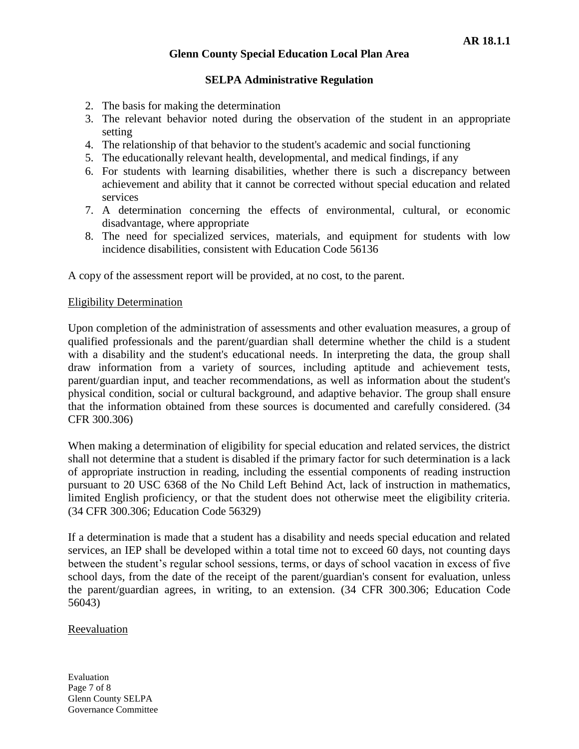# **SELPA Administrative Regulation**

- 2. The basis for making the determination
- 3. The relevant behavior noted during the observation of the student in an appropriate setting
- 4. The relationship of that behavior to the student's academic and social functioning
- 5. The educationally relevant health, developmental, and medical findings, if any
- 6. For students with learning disabilities, whether there is such a discrepancy between achievement and ability that it cannot be corrected without special education and related services
- 7. A determination concerning the effects of environmental, cultural, or economic disadvantage, where appropriate
- 8. The need for specialized services, materials, and equipment for students with low incidence disabilities, consistent with Education Code 56136

A copy of the assessment report will be provided, at no cost, to the parent.

#### Eligibility Determination

Upon completion of the administration of assessments and other evaluation measures, a group of qualified professionals and the parent/guardian shall determine whether the child is a student with a disability and the student's educational needs. In interpreting the data, the group shall draw information from a variety of sources, including aptitude and achievement tests, parent/guardian input, and teacher recommendations, as well as information about the student's physical condition, social or cultural background, and adaptive behavior. The group shall ensure that the information obtained from these sources is documented and carefully considered. (34 CFR 300.306)

When making a determination of eligibility for special education and related services, the district shall not determine that a student is disabled if the primary factor for such determination is a lack of appropriate instruction in reading, including the essential components of reading instruction pursuant to 20 USC 6368 of the No Child Left Behind Act, lack of instruction in mathematics, limited English proficiency, or that the student does not otherwise meet the eligibility criteria. (34 CFR 300.306; Education Code 56329)

If a determination is made that a student has a disability and needs special education and related services, an IEP shall be developed within a total time not to exceed 60 days, not counting days between the student's regular school sessions, terms, or days of school vacation in excess of five school days, from the date of the receipt of the parent/guardian's consent for evaluation, unless the parent/guardian agrees, in writing, to an extension. (34 CFR 300.306; Education Code 56043)

#### Reevaluation

Evaluation Page 7 of 8 Glenn County SELPA Governance Committee